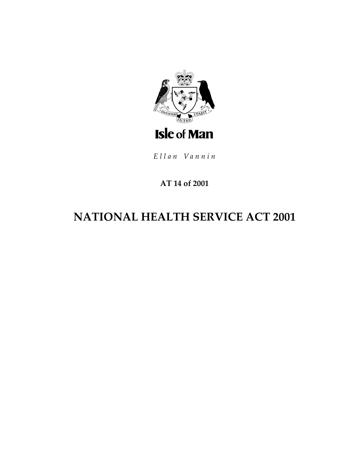

Ellan Vannin

# **AT 14 of 2001**

# **NATIONAL HEALTH SERVICE ACT 2001**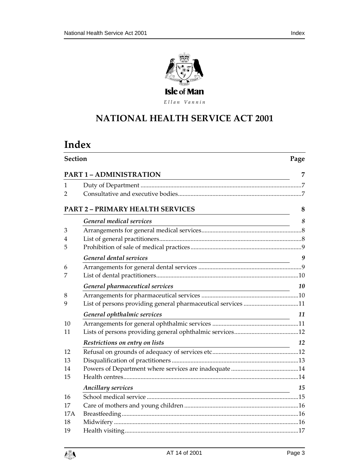

Ellan Vannin

# **NATIONAL HEALTH SERV ICE ACT 2001**

# **Index**

| <b>Section</b>                                                                         |                                                                                                                                                       | Page |  |
|----------------------------------------------------------------------------------------|-------------------------------------------------------------------------------------------------------------------------------------------------------|------|--|
| <b>PART 1 - ADMINISTRATION</b><br><u> 1980 - Johann Barn, fransk politik (f. 1980)</u> |                                                                                                                                                       |      |  |
| 1                                                                                      |                                                                                                                                                       |      |  |
| 2                                                                                      |                                                                                                                                                       |      |  |
| <b>PART 2 - PRIMARY HEALTH SERVICES</b>                                                |                                                                                                                                                       |      |  |
|                                                                                        | <b>General medical services</b>                                                                                                                       | 8    |  |
| 3                                                                                      |                                                                                                                                                       |      |  |
| 4                                                                                      |                                                                                                                                                       |      |  |
| 5                                                                                      |                                                                                                                                                       |      |  |
|                                                                                        | General dental services                                                                                                                               | 9    |  |
| 6                                                                                      |                                                                                                                                                       |      |  |
| 7                                                                                      |                                                                                                                                                       |      |  |
|                                                                                        | General pharmaceutical services                                                                                                                       | 10   |  |
| 8                                                                                      |                                                                                                                                                       |      |  |
| 9                                                                                      | List of persons providing general pharmaceutical services 11                                                                                          |      |  |
|                                                                                        | General ophthalmic services<br><u> 1989 - Johann Stoff, deutscher Stoffen und der Stoffen und der Stoffen und der Stoffen und der Stoffen und der</u> | 11   |  |
| 10                                                                                     |                                                                                                                                                       |      |  |
| 11                                                                                     |                                                                                                                                                       |      |  |
|                                                                                        | Restrictions on entry on lists                                                                                                                        | 12   |  |
| 12                                                                                     |                                                                                                                                                       |      |  |
| 13                                                                                     |                                                                                                                                                       |      |  |
| 14                                                                                     |                                                                                                                                                       |      |  |
| 15                                                                                     |                                                                                                                                                       |      |  |
|                                                                                        | <b>Ancillary services</b><br><u> 1980 - Johann Barbara, martxa alemaniar amerikan a</u>                                                               | 15   |  |
| 16                                                                                     |                                                                                                                                                       |      |  |
| 17                                                                                     |                                                                                                                                                       |      |  |
| 17A                                                                                    |                                                                                                                                                       |      |  |
| 18                                                                                     |                                                                                                                                                       |      |  |
| 19                                                                                     |                                                                                                                                                       |      |  |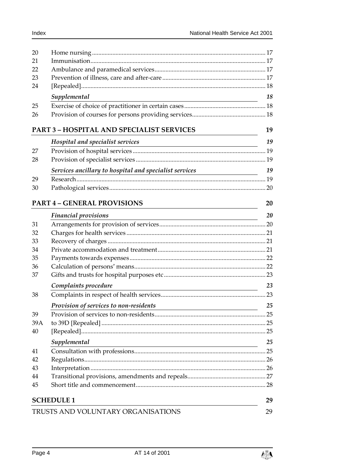| 20  |                                                                                                                       |    |
|-----|-----------------------------------------------------------------------------------------------------------------------|----|
| 21  |                                                                                                                       |    |
| 22  |                                                                                                                       |    |
| 23  |                                                                                                                       |    |
| 24  |                                                                                                                       |    |
|     | Supplemental                                                                                                          | 18 |
| 25  |                                                                                                                       |    |
| 26  |                                                                                                                       |    |
|     |                                                                                                                       |    |
|     | <b>PART 3 - HOSPITAL AND SPECIALIST SERVICES</b>                                                                      | 19 |
|     | Hospital and specialist services                                                                                      | 19 |
| 27  |                                                                                                                       |    |
| 28  |                                                                                                                       |    |
|     | Services ancillary to hospital and specialist services                                                                | 19 |
| 29  |                                                                                                                       |    |
| 30  |                                                                                                                       |    |
|     |                                                                                                                       |    |
|     | <b>PART 4 - GENERAL PROVISIONS</b>                                                                                    | 20 |
|     | <b>Financial provisions</b>                                                                                           | 20 |
| 31  |                                                                                                                       |    |
| 32  |                                                                                                                       |    |
| 33  |                                                                                                                       |    |
| 34  |                                                                                                                       |    |
| 35  |                                                                                                                       |    |
| 36  |                                                                                                                       |    |
| 37  |                                                                                                                       |    |
|     | Complaints procedure<br><u> 1989 - Johann Stoff, Amerikaansk politiker (</u>                                          | 23 |
| 38  |                                                                                                                       |    |
|     | <b>Provision of services to non-residents</b> 25                                                                      |    |
| 39  |                                                                                                                       |    |
| 39A |                                                                                                                       |    |
| 40  |                                                                                                                       |    |
|     | Supplemental                                                                                                          | 25 |
| 41  | <u> 1980 - Johann Barn, mars ann an t-Amhain Aonaichte ann an t-Aonaichte ann an t-Aonaichte ann an t-Aonaichte a</u> |    |
| 42  |                                                                                                                       |    |
| 43  |                                                                                                                       |    |
| 44  |                                                                                                                       |    |
| 45  |                                                                                                                       |    |
|     |                                                                                                                       |    |
|     | <b>SCHEDULE 1</b>                                                                                                     | 29 |
|     | TRUSTS AND VOLUNTARY ORGANISATIONS                                                                                    | 29 |

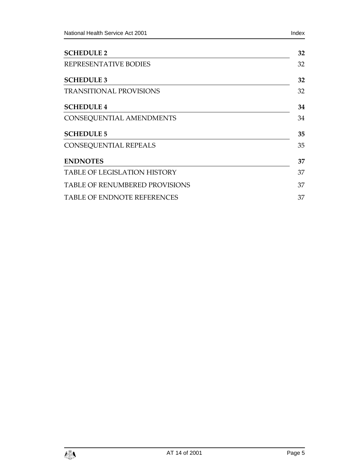| <b>SCHEDULE 2</b>                  | 32 |
|------------------------------------|----|
| REPRESENTATIVE BODIES              | 32 |
| <b>SCHEDULE 3</b>                  | 32 |
| <b>TRANSITIONAL PROVISIONS</b>     | 32 |
| <b>SCHEDULE 4</b>                  | 34 |
| CONSEQUENTIAL AMENDMENTS           | 34 |
| <b>SCHEDULE 5</b>                  | 35 |
| CONSEQUENTIAL REPEALS              | 35 |
| <b>ENDNOTES</b>                    | 37 |
| TABLE OF LEGISLATION HISTORY       | 37 |
| TABLE OF RENUMBERED PROVISIONS     | 37 |
| <b>TABLE OF ENDNOTE REFERENCES</b> |    |
|                                    |    |

l,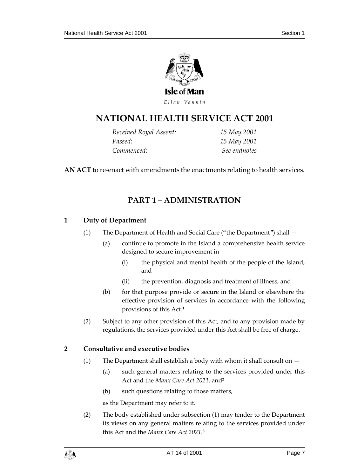

Ellan Vannin

# **NATIONAL HEALTH SERV ICE ACT 2001**

*Received Royal Assent: 15 May 2001 Passed: 15 May 2001 Commenced: See endnotes*

<span id="page-6-0"></span>**AN ACT** to re-enact with amendments the enactments relating to health services.

# **PART 1 – ADMINISTRATION**

## <span id="page-6-1"></span>**1 Duty of Department**

- (1) The Department of Health and Social Care ("the Department") shall
	- (a) continue to promote in the Island a comprehensive health service designed to secure improvement in —
		- (i) the physical and mental health of the people of the Island, and
		- (ii) the prevention, diagnosis and treatment of illness, and
	- (b) for that purpose provide or secure in the Island or elsewhere the effective provision of services in accordance with the following provisions of this Act.**<sup>1</sup>**
- (2) Subject to any other provision of this Act, and to any provision made by regulations, the services provided under this Act shall be free of charge.

## <span id="page-6-2"></span>**2 Consultative and executive bodies**

- (1) The Department shall establish a body with whom it shall consult on
	- (a) such general matters relating to the services provided under this Act and the *Manx Care Act 2021*, and**<sup>2</sup>**
	- (b) such questions relating to those matters,

as the Department may refer to it.

(2) The body established under subsection (1) may tender to the Department its views on any general matters relating to the services provided under this Act and the *Manx Care Act 2021*. **3**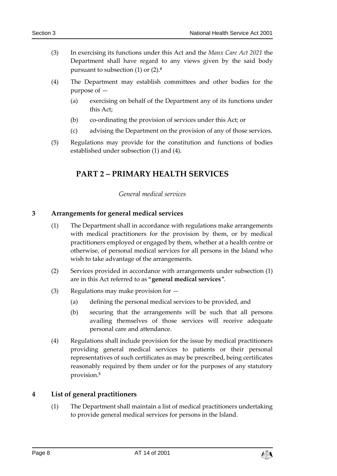- (3) In exercising its functions under this Act and the *Manx Care Act 2021* the Department shall have regard to any views given by the said body pursuant to subsection (1) or (2).**<sup>4</sup>**
- (4) The Department may establish committees and other bodies for the purpose of —
	- (a) exercising on behalf of the Department any of its functions under this Act;
	- (b) co-ordinating the provision of services under this Act; or
	- (c) advising the Department on the provision of any of those services.
- <span id="page-7-0"></span>(5) Regulations may provide for the constitution and functions of bodies established under subsection (1) and (4).

# **PART 2 – PRIMARY HEALTH SERVICES**

## *General medical services*

#### <span id="page-7-2"></span><span id="page-7-1"></span>**3 Arrangements for general medical services**

- (1) The Department shall in accordance with regulations make arrangements with medical practitioners for the provision by them, or by medical practitioners employed or engaged by them, whether at a health centre or otherwise, of personal medical services for all persons in the Island who wish to take advantage of the arrangements.
- (2) Services provided in accordance with arrangements under subsection (1) are in this Act referred to as "**general medical services**".
- (3) Regulations may make provision for
	- (a) defining the personal medical services to be provided, and
	- (b) securing that the arrangements will be such that all persons availing themselves of those services will receive adequate personal care and attendance.
- (4) Regulations shall include provision for the issue by medical practitioners providing general medical services to patients or their personal representatives of such certificates as may be prescribed, being certificates reasonably required by them under or for the purposes of any statutory provision.**<sup>5</sup>**

#### <span id="page-7-3"></span>**4 List of general practitioners**

(1) The Department shall maintain a list of medical practitioners undertaking to provide general medical services for persons in the Island.

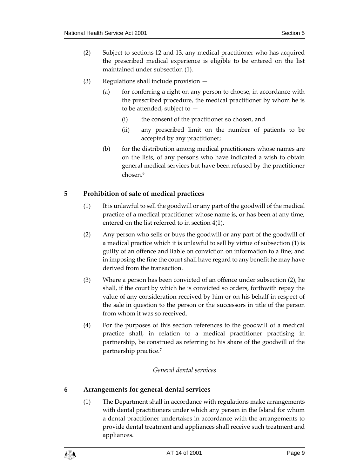- (2) Subject to sections 12 and 13, any medical practitioner who has acquired the prescribed medical experience is eligible to be entered on the list maintained under subsection (1).
- (3) Regulations shall include provision
	- (a) for conferring a right on any person to choose, in accordance with the prescribed procedure, the medical practitioner by whom he is to be attended, subject to —
		- (i) the consent of the practitioner so chosen, and
		- (ii) any prescribed limit on the number of patients to be accepted by any practitioner;
	- (b) for the distribution among medical practitioners whose names are on the lists, of any persons who have indicated a wish to obtain general medical services but have been refused by the practitioner chosen.**<sup>6</sup>**

## <span id="page-8-0"></span>**5 Prohibition of sale of medical practices**

- (1) It is unlawful to sell the goodwill or any part of the goodwill of the medical practice of a medical practitioner whose name is, or has been at any time, entered on the list referred to in section 4(1).
- (2) Any person who sells or buys the goodwill or any part of the goodwill of a medical practice which it is unlawful to sell by virtue of subsection (1) is guilty of an offence and liable on conviction on information to a fine; and in imposing the fine the court shall have regard to any benefit he may have derived from the transaction.
- (3) Where a person has been convicted of an offence under subsection (2), he shall, if the court by which he is convicted so orders, forthwith repay the value of any consideration received by him or on his behalf in respect of the sale in question to the person or the successors in title of the person from whom it was so received.
- (4) For the purposes of this section references to the goodwill of a medical practice shall, in relation to a medical practitioner practising in partnership, be construed as referring to his share of the goodwill of the partnership practice.**<sup>7</sup>**

## *General dental services*

## <span id="page-8-2"></span><span id="page-8-1"></span>**6 Arrangements for general dental services**

(1) The Department shall in accordance with regulations make arrangements with dental practitioners under which any person in the Island for whom a dental practitioner undertakes in accordance with the arrangements to provide dental treatment and appliances shall receive such treatment and appliances.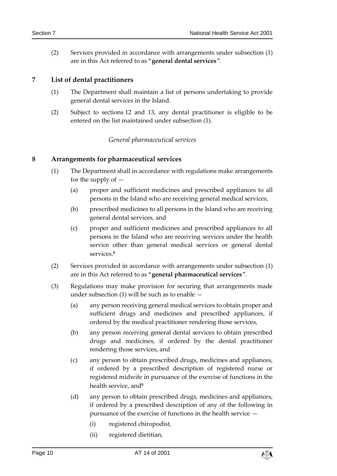(2) Services provided in accordance with arrangements under subsection (1) are in this Act referred to as "**general dental services**".

## <span id="page-9-0"></span>**7 List of dental practitioners**

- (1) The Department shall maintain a list of persons undertaking to provide general dental services in the Island.
- <span id="page-9-1"></span>(2) Subject to sections 12 and 13, any dental practitioner is eligible to be entered on the list maintained under subsection (1).

#### *General pharmaceutical services*

#### <span id="page-9-2"></span>**8 Arrangements for pharmaceutical services**

- (1) The Department shall in accordance with regulations make arrangements for the supply of —
	- (a) proper and sufficient medicines and prescribed appliances to all persons in the Island who are receiving general medical services,
	- (b) prescribed medicines to all persons in the Island who are receiving general dental services, and
	- (c) proper and sufficient medicines and prescribed appliances to all persons in the Island who are receiving services under the health service other than general medical services or general dental services. **8**
- (2) Services provided in accordance with arrangements under subsection (1) are in this Act referred to as "**general pharmaceutical services**".
- (3) Regulations may make provision for securing that arrangements made under subsection (1) will be such as to enable  $-$ 
	- (a) any person receiving general medical services to obtain proper and sufficient drugs and medicines and prescribed appliances, if ordered by the medical practitioner rendering those services,
	- (b) any person receiving general dental services to obtain prescribed drugs and medicines, if ordered by the dental practitioner rendering those services, and
	- (c) any person to obtain prescribed drugs, medicines and appliances, if ordered by a prescribed description of registered nurse or registered midwife in pursuance of the exercise of functions in the health service, and**<sup>9</sup>**
	- (d) any person to obtain prescribed drugs, medicines and appliances, if ordered by a prescribed description of any of the following in pursuance of the exercise of functions in the health service —
		- (i) registered chiropodist,
		- (ii) registered dietitian,

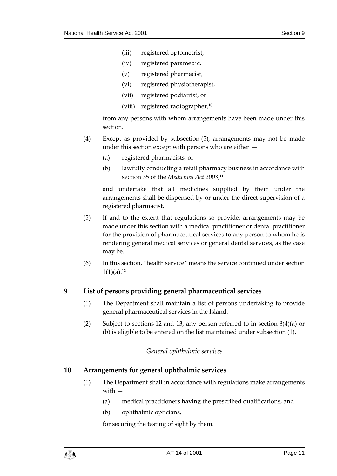- (iii) registered optometrist,
- (iv) registered paramedic,
- (v) registered pharmacist,
- (vi) registered physiotherapist,
- (vii) registered podiatrist, or
- (viii) registered radiographer,**<sup>10</sup>**

from any persons with whom arrangements have been made under this section.

- (4) Except as provided by subsection (5), arrangements may not be made under this section except with persons who are either —
	- (a) registered pharmacists, or
	- (b) lawfully conducting a retail pharmacy business in accordance with section 35 of the *Medicines Act 2003*, **11**

and undertake that all medicines supplied by them under the arrangements shall be dispensed by or under the direct supervision of a registered pharmacist.

- (5) If and to the extent that regulations so provide, arrangements may be made under this section with a medical practitioner or dental practitioner for the provision of pharmaceutical services to any person to whom he is rendering general medical services or general dental services, as the case may be.
- (6) In this section, "health service" means the service continued under section 1(1)(a).**<sup>12</sup>**

## <span id="page-10-0"></span>**9 List of persons providing general pharmaceutical services**

- (1) The Department shall maintain a list of persons undertaking to provide general pharmaceutical services in the Island.
- <span id="page-10-1"></span>(2) Subject to sections 12 and 13, any person referred to in section 8(4)(a) or (b) is eligible to be entered on the list maintained under subsection (1).

## *General ophthalmic services*

## <span id="page-10-2"></span>**10 Arrangements for general ophthalmic services**

- (1) The Department shall in accordance with regulations make arrangements with —
	- (a) medical practitioners having the prescribed qualifications, and
	- (b) ophthalmic opticians,

for securing the testing of sight by them.

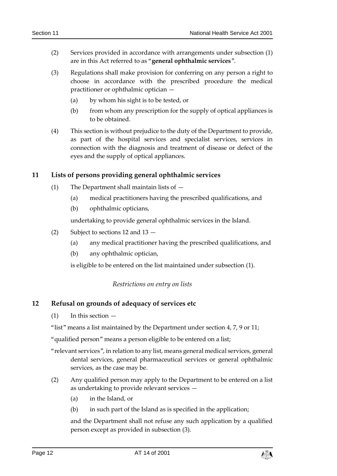- (2) Services provided in accordance with arrangements under subsection (1) are in this Act referred to as "**general ophthalmic services**".
- (3) Regulations shall make provision for conferring on any person a right to choose in accordance with the prescribed procedure the medical practitioner or ophthalmic optician —
	- (a) by whom his sight is to be tested, or
	- (b) from whom any prescription for the supply of optical appliances is to be obtained.
- (4) This section is without prejudice to the duty of the Department to provide, as part of the hospital services and specialist services, services in connection with the diagnosis and treatment of disease or defect of the eyes and the supply of optical appliances.

## <span id="page-11-0"></span>**11 Lists of persons providing general ophthalmic services**

- (1) The Department shall maintain lists of
	- (a) medical practitioners having the prescribed qualifications, and
	- (b) ophthalmic opticians,

undertaking to provide general ophthalmic services in the Island.

- (2) Subject to sections 12 and 13
	- (a) any medical practitioner having the prescribed qualifications, and
	- (b) any ophthalmic optician,

is eligible to be entered on the list maintained under subsection (1).

#### *Restrictions on entry on lists*

## <span id="page-11-2"></span><span id="page-11-1"></span>**12 Refusal on grounds of adequacy of services etc**

 $(1)$  In this section  $-$ 

"list" means a list maintained by the Department under section 4, 7, 9 or 11;

"qualified person" means a person eligible to be entered on a list;

- "relevant services", in relation to any list, means general medical services, general dental services, general pharmaceutical services or general ophthalmic services, as the case may be.
- (2) Any qualified person may apply to the Department to be entered on a list as undertaking to provide relevant services —
	- (a) in the Island, or
	- (b) in such part of the Island as is specified in the application;

and the Department shall not refuse any such application by a qualified person except as provided in subsection (3).

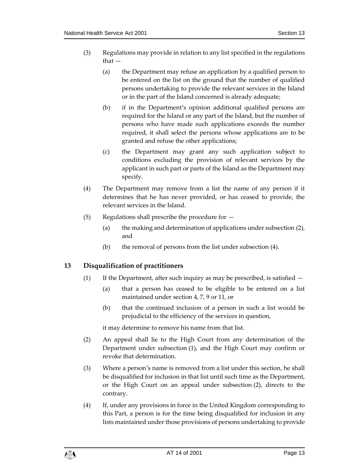- (3) Regulations may provide in relation to any list specified in the regulations that —
	- (a) the Department may refuse an application by a qualified person to be entered on the list on the ground that the number of qualified persons undertaking to provide the relevant services in the Island or in the part of the Island concerned is already adequate;
	- (b) if in the Department's opinion additional qualified persons are required for the Island or any part of the Island, but the number of persons who have made such applications exceeds the number required, it shall select the persons whose applications are to be granted and refuse the other applications;
	- (c) the Department may grant any such application subject to conditions excluding the provision of relevant services by the applicant in such part or parts of the Island as the Department may specify.
- (4) The Department may remove from a list the name of any person if it determines that he has never provided, or has ceased to provide, the relevant services in the Island.
- $(5)$  Regulations shall prescribe the procedure for  $-$ 
	- (a) the making and determination of applications under subsection (2), and
	- (b) the removal of persons from the list under subsection (4).

## <span id="page-12-0"></span>**13 Disqualification of practitioners**

- (1) If the Department, after such inquiry as may be prescribed, is satisfied  $-$ 
	- (a) that a person has ceased to be eligible to be entered on a list maintained under section 4, 7, 9 or 11, or
	- (b) that the continued inclusion of a person in such a list would be prejudicial to the efficiency of the services in question,

it may determine to remove his name from that list.

- (2) An appeal shall lie to the High Court from any determination of the Department under subsection (1), and the High Court may confirm or revoke that determination.
- (3) Where a person's name is removed from a list under this section, he shall be disqualified for inclusion in that list until such time as the Department, or the High Court on an appeal under subsection (2), directs to the contrary.
- (4) If, under any provisions in force in the United Kingdom corresponding to this Part, a person is for the time being disqualified for inclusion in any lists maintained under those provisions of persons undertaking to provide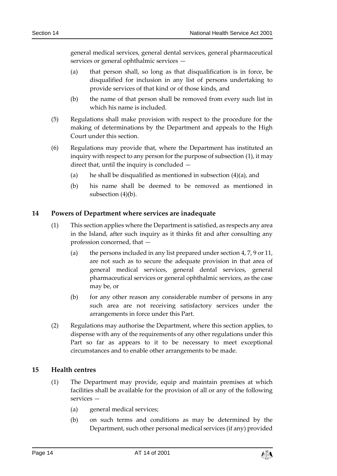general medical services, general dental services, general pharmaceutical services or general ophthalmic services —

- (a) that person shall, so long as that disqualification is in force, be disqualified for inclusion in any list of persons undertaking to provide services of that kind or of those kinds, and
- (b) the name of that person shall be removed from every such list in which his name is included.
- (5) Regulations shall make provision with respect to the procedure for the making of determinations by the Department and appeals to the High Court under this section.
- (6) Regulations may provide that, where the Department has instituted an inquiry with respect to any person for the purpose of subsection (1), it may direct that, until the inquiry is concluded —
	- (a) he shall be disqualified as mentioned in subsection  $(4)(a)$ , and
	- (b) his name shall be deemed to be removed as mentioned in subsection (4)(b).

## <span id="page-13-0"></span>**14 Powers of Department where services are inadequate**

- (1) This section applies where the Department is satisfied, as respects any area in the Island, after such inquiry as it thinks fit and after consulting any profession concerned, that —
	- (a) the persons included in any list prepared under section 4, 7, 9 or 11, are not such as to secure the adequate provision in that area of general medical services, general dental services, general pharmaceutical services or general ophthalmic services, as the case may be, or
	- (b) for any other reason any considerable number of persons in any such area are not receiving satisfactory services under the arrangements in force under this Part.
- (2) Regulations may authorise the Department, where this section applies, to dispense with any of the requirements of any other regulations under this Part so far as appears to it to be necessary to meet exceptional circumstances and to enable other arrangements to be made.

## <span id="page-13-1"></span>**15 Health centres**

- (1) The Department may provide, equip and maintain premises at which facilities shall be available for the provision of all or any of the following services —
	- (a) general medical services;
	- (b) on such terms and conditions as may be determined by the Department, such other personal medical services (if any) provided

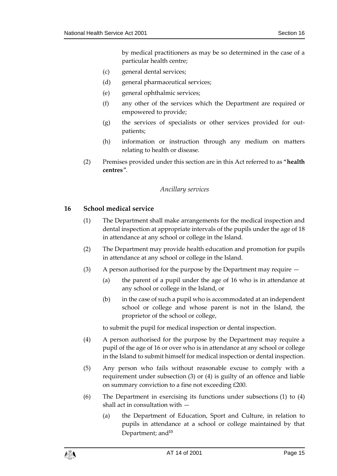by medical practitioners as may be so determined in the case of a particular health centre;

- (c) general dental services;
- (d) general pharmaceutical services;
- (e) general ophthalmic services;
- (f) any other of the services which the Department are required or empowered to provide;
- (g) the services of specialists or other services provided for outpatients;
- (h) information or instruction through any medium on matters relating to health or disease.
- <span id="page-14-0"></span>(2) Premises provided under this section are in this Act referred to as "**health centres**".

#### *Ancillary services*

#### <span id="page-14-1"></span>**16 School medical service**

- (1) The Department shall make arrangements for the medical inspection and dental inspection at appropriate intervals of the pupils under the age of 18 in attendance at any school or college in the Island.
- (2) The Department may provide health education and promotion for pupils in attendance at any school or college in the Island.
- (3) A person authorised for the purpose by the Department may require
	- (a) the parent of a pupil under the age of 16 who is in attendance at any school or college in the Island, or
	- (b) in the case of such a pupil who is accommodated at an independent school or college and whose parent is not in the Island, the proprietor of the school or college,

to submit the pupil for medical inspection or dental inspection.

- (4) A person authorised for the purpose by the Department may require a pupil of the age of 16 or over who is in attendance at any school or college in the Island to submit himself for medical inspection or dental inspection.
- (5) Any person who fails without reasonable excuse to comply with a requirement under subsection (3) or (4) is guilty of an offence and liable on summary conviction to a fine not exceeding £200.
- (6) The Department in exercising its functions under subsections (1) to (4) shall act in consultation with —
	- (a) the Department of Education, Sport and Culture, in relation to pupils in attendance at a school or college maintained by that Department; and**13**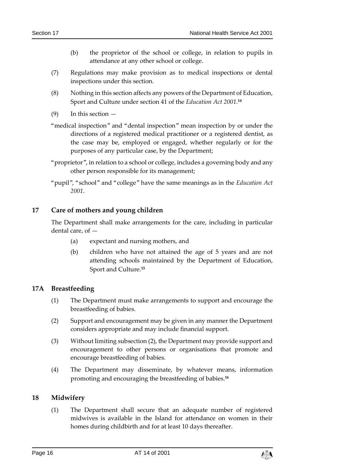- (b) the proprietor of the school or college, in relation to pupils in attendance at any other school or college.
- (7) Regulations may make provision as to medical inspections or dental inspections under this section.
- (8) Nothing in this section affects any powers of the Department of Education, Sport and Culture under section 41 of the *Education Act 2001*. **14**
- $(9)$  In this section  $-$
- "medical inspection" and "dental inspection" mean inspection by or under the directions of a registered medical practitioner or a registered dentist, as the case may be, employed or engaged, whether regularly or for the purposes of any particular case, by the Department;
- "proprietor", in relation to a school or college, includes a governing body and any other person responsible for its management;
- "pupil", "school" and "college" have the same meanings as in the *Education Act 2001*.

## <span id="page-15-0"></span>**17 Care of mothers and young children**

The Department shall make arrangements for the care, including in particular dental care, of —

- (a) expectant and nursing mothers, and
- (b) children who have not attained the age of 5 years and are not attending schools maintained by the Department of Education, Sport and Culture. **15**

## <span id="page-15-1"></span>**17A Breastfeeding**

- (1) The Department must make arrangements to support and encourage the breastfeeding of babies.
- (2) Support and encouragement may be given in any manner the Department considers appropriate and may include financial support.
- (3) Without limiting subsection (2), the Department may provide support and encouragement to other persons or organisations that promote and encourage breastfeeding of babies.
- (4) The Department may disseminate, by whatever means, information promoting and encouraging the breastfeeding of babies. **16**

## <span id="page-15-2"></span>**18 Midwifery**

(1) The Department shall secure that an adequate number of registered midwives is available in the Island for attendance on women in their homes during childbirth and for at least 10 days thereafter.

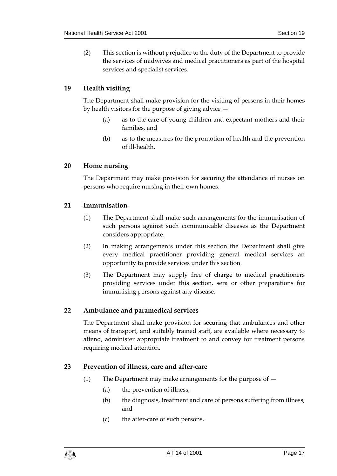(2) This section is without prejudice to the duty of the Department to provide the services of midwives and medical practitioners as part of the hospital services and specialist services.

## <span id="page-16-0"></span>**19 Health visiting**

The Department shall make provision for the visiting of persons in their homes by health visitors for the purpose of giving advice —

- (a) as to the care of young children and expectant mothers and their families, and
- (b) as to the measures for the promotion of health and the prevention of ill-health.

## <span id="page-16-1"></span>**20 Home nursing**

The Department may make provision for securing the attendance of nurses on persons who require nursing in their own homes.

## <span id="page-16-2"></span>**21 Immunisation**

- (1) The Department shall make such arrangements for the immunisation of such persons against such communicable diseases as the Department considers appropriate.
- (2) In making arrangements under this section the Department shall give every medical practitioner providing general medical services an opportunity to provide services under this section.
- (3) The Department may supply free of charge to medical practitioners providing services under this section, sera or other preparations for immunising persons against any disease.

## <span id="page-16-3"></span>**22 Ambulance and paramedical services**

The Department shall make provision for securing that ambulances and other means of transport, and suitably trained staff, are available where necessary to attend, administer appropriate treatment to and convey for treatment persons requiring medical attention.

## <span id="page-16-4"></span>**23 Prevention of illness, care and after-care**

- (1) The Department may make arrangements for the purpose of
	- (a) the prevention of illness,
	- (b) the diagnosis, treatment and care of persons suffering from illness, and
	- (c) the after-care of such persons.

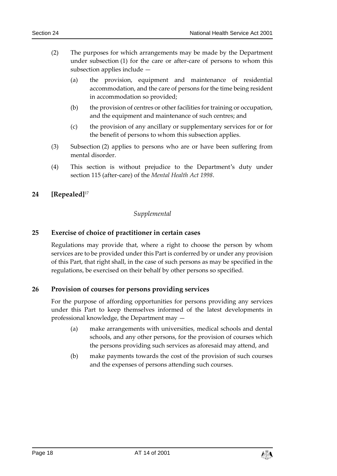- (2) The purposes for which arrangements may be made by the Department under subsection (1) for the care or after-care of persons to whom this subsection applies include —
	- (a) the provision, equipment and maintenance of residential accommodation, and the care of persons for the time being resident in accommodation so provided;
	- (b) the provision of centres or other facilities for training or occupation, and the equipment and maintenance of such centres; and
	- (c) the provision of any ancillary or supplementary services for or for the benefit of persons to whom this subsection applies.
- (3) Subsection (2) applies to persons who are or have been suffering from mental disorder.
- (4) This section is without prejudice to the Department's duty under section 115 (after-care) of the *Mental Health Act 1998*.

## <span id="page-17-1"></span><span id="page-17-0"></span>**24 [Repealed]**<sup>17</sup>

## *Supplemental*

## <span id="page-17-2"></span>**25 Exercise of choice of practitioner in certain cases**

Regulations may provide that, where a right to choose the person by whom services are to be provided under this Part is conferred by or under any provision of this Part, that right shall, in the case of such persons as may be specified in the regulations, be exercised on their behalf by other persons so specified.

## <span id="page-17-3"></span>**26 Provision of courses for persons providing services**

For the purpose of affording opportunities for persons providing any services under this Part to keep themselves informed of the latest developments in professional knowledge, the Department may —

- (a) make arrangements with universities, medical schools and dental schools, and any other persons, for the provision of courses which the persons providing such services as aforesaid may attend, and
- (b) make payments towards the cost of the provision of such courses and the expenses of persons attending such courses.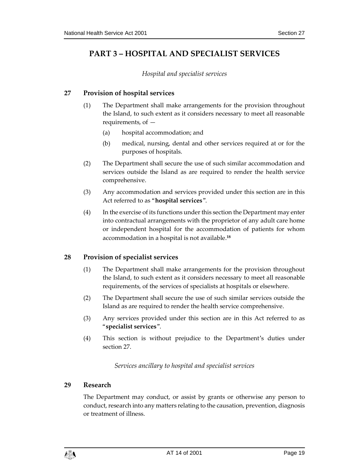# <span id="page-18-1"></span><span id="page-18-0"></span>**PART 3 – HOSPITAL AND SPECIALIST SERVICES**

*Hospital and specialist services*

## <span id="page-18-2"></span>**27 Provision of hospital services**

- (1) The Department shall make arrangements for the provision throughout the Island, to such extent as it considers necessary to meet all reasonable requirements, of —
	- (a) hospital accommodation; and
	- (b) medical, nursing, dental and other services required at or for the purposes of hospitals.
- (2) The Department shall secure the use of such similar accommodation and services outside the Island as are required to render the health service comprehensive.
- (3) Any accommodation and services provided under this section are in this Act referred to as "**hospital services**".
- (4) In the exercise of its functions under this section the Department may enter into contractual arrangements with the proprietor of any adult care home or independent hospital for the accommodation of patients for whom accommodation in a hospital is not available.**<sup>18</sup>**

## <span id="page-18-3"></span>**28 Provision of specialist services**

- (1) The Department shall make arrangements for the provision throughout the Island, to such extent as it considers necessary to meet all reasonable requirements, of the services of specialists at hospitals or elsewhere.
- (2) The Department shall secure the use of such similar services outside the Island as are required to render the health service comprehensive.
- (3) Any services provided under this section are in this Act referred to as "**specialist services**".
- <span id="page-18-4"></span>(4) This section is without prejudice to the Department's duties under section 27.

## *Services ancillary to hospital and specialist services*

#### <span id="page-18-5"></span>**29 Research**

The Department may conduct, or assist by grants or otherwise any person to conduct, research into any matters relating to the causation, prevention, diagnosis or treatment of illness.

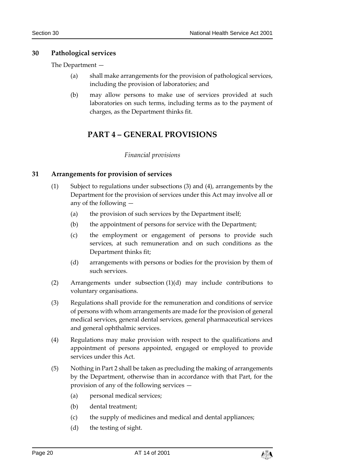## <span id="page-19-0"></span>**30 Pathological services**

The Department —

- (a) shall make arrangements for the provision of pathological services, including the provision of laboratories; and
- <span id="page-19-1"></span>(b) may allow persons to make use of services provided at such laboratories on such terms, including terms as to the payment of charges, as the Department thinks fit.

# **PART 4 – GENERAL PROVISIONS**

## *Financial provisions*

## <span id="page-19-3"></span><span id="page-19-2"></span>**31 Arrangements for provision of services**

- (1) Subject to regulations under subsections (3) and (4), arrangements by the Department for the provision of services under this Act may involve all or any of the following —
	- (a) the provision of such services by the Department itself;
	- (b) the appointment of persons for service with the Department;
	- (c) the employment or engagement of persons to provide such services, at such remuneration and on such conditions as the Department thinks fit;
	- (d) arrangements with persons or bodies for the provision by them of such services.
- (2) Arrangements under subsection (1)(d) may include contributions to voluntary organisations.
- (3) Regulations shall provide for the remuneration and conditions of service of persons with whom arrangements are made for the provision of general medical services, general dental services, general pharmaceutical services and general ophthalmic services.
- (4) Regulations may make provision with respect to the qualifications and appointment of persons appointed, engaged or employed to provide services under this Act.
- (5) Nothing in Part 2 shall be taken as precluding the making of arrangements by the Department, otherwise than in accordance with that Part, for the provision of any of the following services —
	- (a) personal medical services;
	- (b) dental treatment;
	- (c) the supply of medicines and medical and dental appliances;
	- (d) the testing of sight.

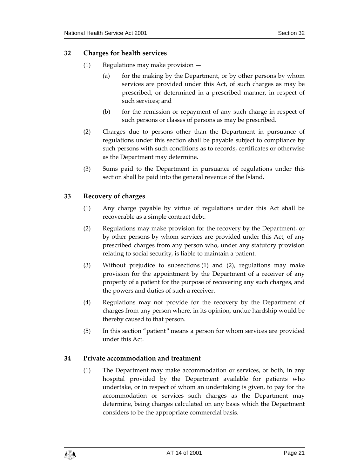## <span id="page-20-0"></span>**32 Charges for health services**

- (1) Regulations may make provision
	- (a) for the making by the Department, or by other persons by whom services are provided under this Act, of such charges as may be prescribed, or determined in a prescribed manner, in respect of such services; and
	- (b) for the remission or repayment of any such charge in respect of such persons or classes of persons as may be prescribed.
- (2) Charges due to persons other than the Department in pursuance of regulations under this section shall be payable subject to compliance by such persons with such conditions as to records, certificates or otherwise as the Department may determine.
- (3) Sums paid to the Department in pursuance of regulations under this section shall be paid into the general revenue of the Island.

## <span id="page-20-1"></span>**33 Recovery of charges**

- (1) Any charge payable by virtue of regulations under this Act shall be recoverable as a simple contract debt.
- (2) Regulations may make provision for the recovery by the Department, or by other persons by whom services are provided under this Act, of any prescribed charges from any person who, under any statutory provision relating to social security, is liable to maintain a patient.
- (3) Without prejudice to subsections (1) and (2), regulations may make provision for the appointment by the Department of a receiver of any property of a patient for the purpose of recovering any such charges, and the powers and duties of such a receiver.
- (4) Regulations may not provide for the recovery by the Department of charges from any person where, in its opinion, undue hardship would be thereby caused to that person.
- (5) In this section "patient" means a person for whom services are provided under this Act.

## <span id="page-20-2"></span>**34 Private accommodation and treatment**

(1) The Department may make accommodation or services, or both, in any hospital provided by the Department available for patients who undertake, or in respect of whom an undertaking is given, to pay for the accommodation or services such charges as the Department may determine, being charges calculated on any basis which the Department considers to be the appropriate commercial basis.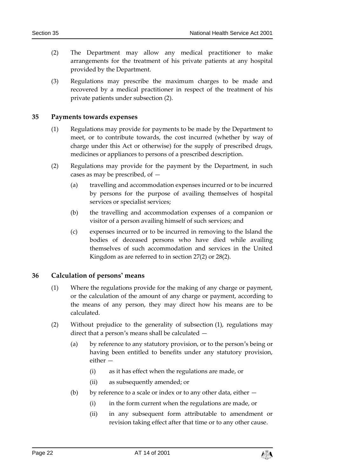- (2) The Department may allow any medical practitioner to make arrangements for the treatment of his private patients at any hospital provided by the Department.
- (3) Regulations may prescribe the maximum charges to be made and recovered by a medical practitioner in respect of the treatment of his private patients under subsection (2).

#### <span id="page-21-0"></span>**35 Payments towards expenses**

- (1) Regulations may provide for payments to be made by the Department to meet, or to contribute towards, the cost incurred (whether by way of charge under this Act or otherwise) for the supply of prescribed drugs, medicines or appliances to persons of a prescribed description.
- (2) Regulations may provide for the payment by the Department, in such cases as may be prescribed, of —
	- (a) travelling and accommodation expenses incurred or to be incurred by persons for the purpose of availing themselves of hospital services or specialist services;
	- (b) the travelling and accommodation expenses of a companion or visitor of a person availing himself of such services; and
	- (c) expenses incurred or to be incurred in removing to the Island the bodies of deceased persons who have died while availing themselves of such accommodation and services in the United Kingdom as are referred to in section 27(2) or 28(2).

#### <span id="page-21-1"></span>**36 Calculation of persons' means**

- (1) Where the regulations provide for the making of any charge or payment, or the calculation of the amount of any charge or payment, according to the means of any person, they may direct how his means are to be calculated.
- (2) Without prejudice to the generality of subsection (1), regulations may direct that a person's means shall be calculated —
	- (a) by reference to any statutory provision, or to the person's being or having been entitled to benefits under any statutory provision, either —
		- (i) as it has effect when the regulations are made, or
		- (ii) as subsequently amended; or
	- (b) by reference to a scale or index or to any other data, either  $-$ 
		- (i) in the form current when the regulations are made, or
		- (ii) in any subsequent form attributable to amendment or revision taking effect after that time or to any other cause.

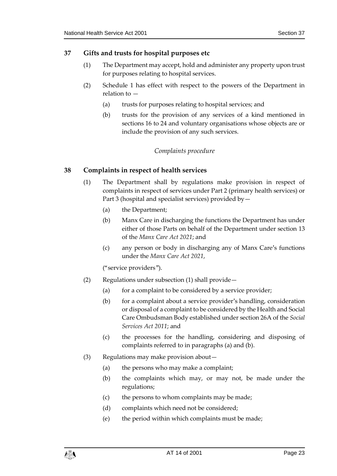## <span id="page-22-0"></span>**37 Gifts and trusts for hospital purposes etc**

- (1) The Department may accept, hold and administer any property upon trust for purposes relating to hospital services.
- (2) Schedule 1 has effect with respect to the powers of the Department in relation to —
	- (a) trusts for purposes relating to hospital services; and
	- (b) trusts for the provision of any services of a kind mentioned in sections 16 to 24 and voluntary organisations whose objects are or include the provision of any such services.

## *Complaints procedure*

## <span id="page-22-2"></span><span id="page-22-1"></span>**38 Complaints in respect of health services**

- (1) The Department shall by regulations make provision in respect of complaints in respect of services under Part 2 (primary health services) or Part 3 (hospital and specialist services) provided by—
	- (a) the Department;
	- (b) Manx Care in discharging the functions the Department has under either of those Parts on behalf of the Department under section 13 of the *Manx Care Act 2021*; and
	- (c) any person or body in discharging any of Manx Care's functions under the *Manx Care Act 2021*,

("service providers").

- (2) Regulations under subsection (1) shall provide—
	- (a) for a complaint to be considered by a service provider;
	- (b) for a complaint about a service provider's handling, consideration or disposal of a complaint to be considered by the Health and Social Care Ombudsman Body established under section 26A of the *Social Services Act 2011*; and
	- (c) the processes for the handling, considering and disposing of complaints referred to in paragraphs (a) and (b).
- (3) Regulations may make provision about—
	- (a) the persons who may make a complaint;
	- (b) the complaints which may, or may not, be made under the regulations;
	- (c) the persons to whom complaints may be made;
	- (d) complaints which need not be considered;
	- (e) the period within which complaints must be made;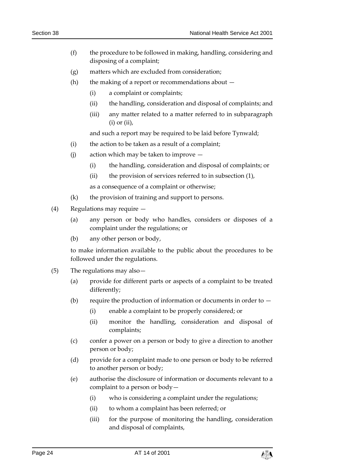- (f) the procedure to be followed in making, handling, considering and disposing of a complaint;
- (g) matters which are excluded from consideration;
- (h) the making of a report or recommendations about  $-$ 
	- (i) a complaint or complaints;
	- (ii) the handling, consideration and disposal of complaints; and
	- (iii) any matter related to a matter referred to in subparagraph  $(i)$  or  $(ii)$ ,

and such a report may be required to be laid before Tynwald;

- (i) the action to be taken as a result of a complaint;
- (j) action which may be taken to improve
	- (i) the handling, consideration and disposal of complaints; or
	- (ii) the provision of services referred to in subsection (1),

as a consequence of a complaint or otherwise;

- (k) the provision of training and support to persons.
- (4) Regulations may require
	- (a) any person or body who handles, considers or disposes of a complaint under the regulations; or
	- (b) any other person or body,

to make information available to the public about the procedures to be followed under the regulations.

- (5) The regulations may also—
	- (a) provide for different parts or aspects of a complaint to be treated differently;
	- (b) require the production of information or documents in order to  $-$ 
		- (i) enable a complaint to be properly considered; or
		- (ii) monitor the handling, consideration and disposal of complaints;
	- (c) confer a power on a person or body to give a direction to another person or body;
	- (d) provide for a complaint made to one person or body to be referred to another person or body;
	- (e) authorise the disclosure of information or documents relevant to a complaint to a person or body—
		- (i) who is considering a complaint under the regulations;
		- (ii) to whom a complaint has been referred; or
		- (iii) for the purpose of monitoring the handling, consideration and disposal of complaints,

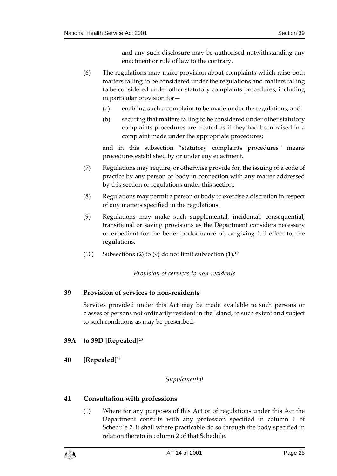and any such disclosure may be authorised notwithstanding any enactment or rule of law to the contrary.

- (6) The regulations may make provision about complaints which raise both matters falling to be considered under the regulations and matters falling to be considered under other statutory complaints procedures, including in particular provision for—
	- (a) enabling such a complaint to be made under the regulations; and
	- (b) securing that matters falling to be considered under other statutory complaints procedures are treated as if they had been raised in a complaint made under the appropriate procedures;

and in this subsection "statutory complaints procedures" means procedures established by or under any enactment.

- (7) Regulations may require, or otherwise provide for, the issuing of a code of practice by any person or body in connection with any matter addressed by this section or regulations under this section.
- (8) Regulations may permit a person or body to exercise a discretion in respect of any matters specified in the regulations.
- (9) Regulations may make such supplemental, incidental, consequential, transitional or saving provisions as the Department considers necessary or expedient for the better performance of, or giving full effect to, the regulations.
- <span id="page-24-0"></span>(10) Subsections (2) to (9) do not limit subsection (1).**<sup>19</sup>**

*Provision of services to non-residents*

## <span id="page-24-1"></span>**39 Provision of services to non-residents**

Services provided under this Act may be made available to such persons or classes of persons not ordinarily resident in the Island, to such extent and subject to such conditions as may be prescribed.

## <span id="page-24-2"></span>**39A to 39D [Repealed]**<sup>20</sup>

<span id="page-24-4"></span><span id="page-24-3"></span>**40 [Repealed]**<sup>21</sup>

## *Supplemental*

## <span id="page-24-5"></span>**41 Consultation with professions**

(1) Where for any purposes of this Act or of regulations under this Act the Department consults with any profession specified in column 1 of Schedule 2, it shall where practicable do so through the body specified in relation thereto in column 2 of that Schedule.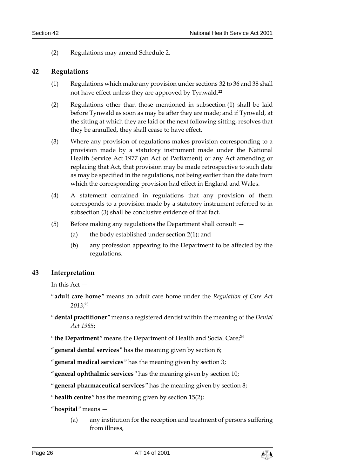(2) Regulations may amend Schedule 2.

#### <span id="page-25-0"></span>**42 Regulations**

- (1) Regulations which make any provision under sections 32 to 36 and 38 shall not have effect unless they are approved by Tynwald.**<sup>22</sup>**
- (2) Regulations other than those mentioned in subsection (1) shall be laid before Tynwald as soon as may be after they are made; and if Tynwald, at the sitting at which they are laid or the next following sitting, resolves that they be annulled, they shall cease to have effect.
- (3) Where any provision of regulations makes provision corresponding to a provision made by a statutory instrument made under the National Health Service Act 1977 (an Act of Parliament) or any Act amending or replacing that Act, that provision may be made retrospective to such date as may be specified in the regulations, not being earlier than the date from which the corresponding provision had effect in England and Wales.
- (4) A statement contained in regulations that any provision of them corresponds to a provision made by a statutory instrument referred to in subsection (3) shall be conclusive evidence of that fact.
- (5) Before making any regulations the Department shall consult
	- (a) the body established under section 2(1); and
	- (b) any profession appearing to the Department to be affected by the regulations.

## <span id="page-25-1"></span>**43 Interpretation**

In this Act —

- "**adult care home**" means an adult care home under the *Regulation of Care Act 2013*; **23**
- "**dental practitioner**" means a registered dentist within the meaning of the *Dental Act 1985*;
- "**the Department**" means the Department of Health and Social Care; **24**
- "**general dental services**" has the meaning given by section 6;

"**general medical services**" has the meaning given by section 3;

"**general ophthalmic services**" has the meaning given by section 10;

"**general pharmaceutical services**" has the meaning given by section 8;

"**health centre**" has the meaning given by section 15(2);

"**hospital**" means —

(a) any institution for the reception and treatment of persons suffering from illness,

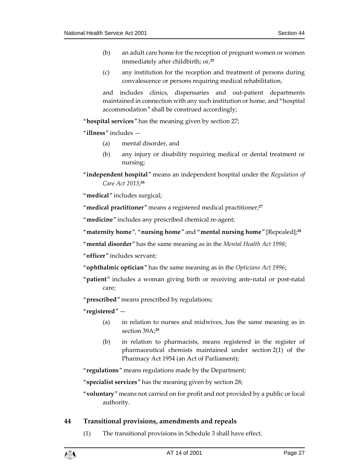- (b) an adult care home for the reception of pregnant women or women immediately after childbirth; or, **25**
- (c) any institution for the reception and treatment of persons during convalescence or persons requiring medical rehabilitation,

and includes clinics, dispensaries and out-patient departments maintained in connection with any such institution or home, and "hospital accommodation" shall be construed accordingly;

"**hospital services**" has the meaning given by section 27;

"**illness**" includes —

- (a) mental disorder, and
- (b) any injury or disability requiring medical or dental treatment or nursing;
- "**independent hospital**" means an independent hospital under the *Regulation of Care Act 2013*; **26**

"**medical**" includes surgical;

"**medical practitioner**" means a registered medical practitioner; **27**

"**medicine**" includes any prescribed chemical re-agent;

"**maternity home**", "**nursing home**" and "**mental nursing home**" [Repealed]; **28**

"**mental disorder**" has the same meaning as in the *Mental Health Act 1998*;

"**officer**" includes servant;

- "**ophthalmic optician**" has the same meaning as in the *Opticians Act 1996*;
- "**patient**" includes a woman giving birth or receiving ante-natal or post-natal care;

"**prescribed**" means prescribed by regulations;

"**registered**" —

- (a) in relation to nurses and midwives, has the same meaning as in section 39A; **29**
- (b) in relation to pharmacists, means registered in the register of pharmaceutical chemists maintained under section 2(1) of the Pharmacy Act 1954 (an Act of Parliament);

"**regulations**" means regulations made by the Department;

"**specialist services**" has the meaning given by section 28;

"**voluntary**" means not carried on for profit and not provided by a public or local authority.

## <span id="page-26-0"></span>**44 Transitional provisions, amendments and repeals**

(1) The transitional provisions in Schedule 3 shall have effect.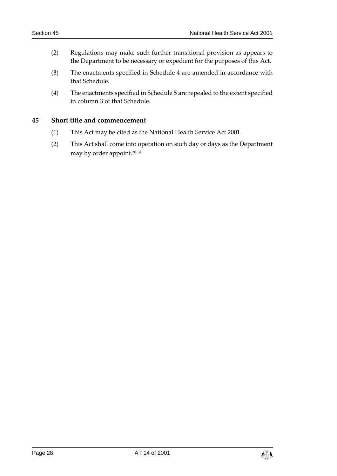- (2) Regulations may make such further transitional provision as appears to the Department to be necessary or expedient for the purposes of this Act.
- (3) The enactments specified in Schedule 4 are amended in accordance with that Schedule.
- (4) The enactments specified in Schedule 5 are repealed to the extent specified in column 3 of that Schedule.

## <span id="page-27-0"></span>**45 Short title and commencement**

- (1) This Act may be cited as the National Health Service Act 2001.
- (2) This Act shall come into operation on such day or days as the Department may by order appoint.**<sup>30</sup> <sup>31</sup>**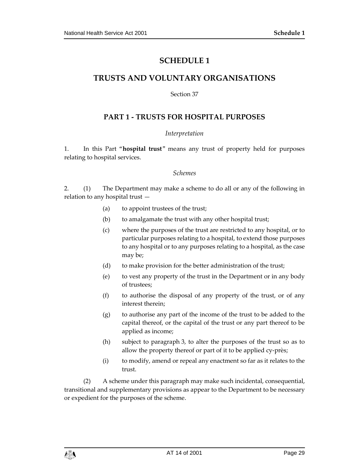## **SCHEDULE 1**

# <span id="page-28-1"></span><span id="page-28-0"></span>**TRUSTS AND VOLUNTARY ORGANISATIONS**

Section 37

## **PART 1 - TRUSTS FOR HOSPITAL PURPOSES**

#### *Interpretation*

1. In this Part "**hospital trust**" means any trust of property held for purposes relating to hospital services.

#### *Schemes*

2. (1) The Department may make a scheme to do all or any of the following in relation to any hospital trust —

- (a) to appoint trustees of the trust;
- (b) to amalgamate the trust with any other hospital trust;
- (c) where the purposes of the trust are restricted to any hospital, or to particular purposes relating to a hospital, to extend those purposes to any hospital or to any purposes relating to a hospital, as the case may be;
- (d) to make provision for the better administration of the trust;
- (e) to vest any property of the trust in the Department or in any body of trustees;
- (f) to authorise the disposal of any property of the trust, or of any interest therein;
- (g) to authorise any part of the income of the trust to be added to the capital thereof, or the capital of the trust or any part thereof to be applied as income;
- (h) subject to paragraph 3, to alter the purposes of the trust so as to allow the property thereof or part of it to be applied cy-près;
- (i) to modify, amend or repeal any enactment so far as it relates to the trust.

(2) A scheme under this paragraph may make such incidental, consequential, transitional and supplementary provisions as appear to the Department to be necessary or expedient for the purposes of the scheme.

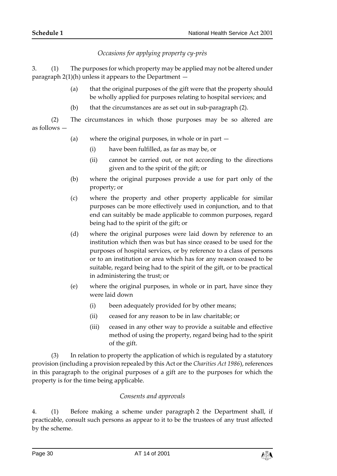*Occasions for applying property cy-près*

3. (1) The purposes for which property may be applied may not be altered under paragraph  $2(1)(h)$  unless it appears to the Department  $-$ 

- (a) that the original purposes of the gift were that the property should be wholly applied for purposes relating to hospital services; and
- (b) that the circumstances are as set out in sub-paragraph (2).

(2) The circumstances in which those purposes may be so altered are as follows —

- (a) where the original purposes, in whole or in part
	- (i) have been fulfilled, as far as may be, or
	- (ii) cannot be carried out, or not according to the directions given and to the spirit of the gift; or
- (b) where the original purposes provide a use for part only of the property; or
- (c) where the property and other property applicable for similar purposes can be more effectively used in conjunction, and to that end can suitably be made applicable to common purposes, regard being had to the spirit of the gift; or
- (d) where the original purposes were laid down by reference to an institution which then was but has since ceased to be used for the purposes of hospital services, or by reference to a class of persons or to an institution or area which has for any reason ceased to be suitable, regard being had to the spirit of the gift, or to be practical in administering the trust; or
- (e) where the original purposes, in whole or in part, have since they were laid down
	- (i) been adequately provided for by other means;
	- (ii) ceased for any reason to be in law charitable; or
	- (iii) ceased in any other way to provide a suitable and effective method of using the property, regard being had to the spirit of the gift.

(3) In relation to property the application of which is regulated by a statutory provision (including a provision repealed by this Act or the *Charities Act 1986*), references in this paragraph to the original purposes of a gift are to the purposes for which the property is for the time being applicable.

## *Consents and approvals*

4. (1) Before making a scheme under paragraph 2 the Department shall, if practicable, consult such persons as appear to it to be the trustees of any trust affected by the scheme.

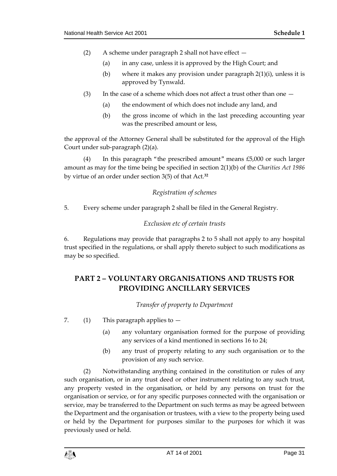- (2) A scheme under paragraph 2 shall not have effect
	- (a) in any case, unless it is approved by the High Court; and
	- (b) where it makes any provision under paragraph 2(1)(i), unless it is approved by Tynwald.
- (3) In the case of a scheme which does not affect a trust other than one  $-$ 
	- (a) the endowment of which does not include any land, and
	- (b) the gross income of which in the last preceding accounting year was the prescribed amount or less,

the approval of the Attorney General shall be substituted for the approval of the High Court under sub-paragraph (2)(a).

(4) In this paragraph "the prescribed amount" means £5,000 or such larger amount as may for the time being be specified in section 2(1)(b) of the *Charities Act 1986* by virtue of an order under section 3(5) of that Act.**<sup>32</sup>**

## *Registration of schemes*

5. Every scheme under paragraph 2 shall be filed in the General Registry.

## *Exclusion etc of certain trusts*

6. Regulations may provide that paragraphs 2 to 5 shall not apply to any hospital trust specified in the regulations, or shall apply thereto subject to such modifications as may be so specified.

# **PART 2 – VOLUNTARY ORGANISATIONS AND TRUSTS FOR PROVIDING ANCILLARY SERVICES**

*Transfer of property to Department*

7. (1) This paragraph applies to  $-$ 

- (a) any voluntary organisation formed for the purpose of providing any services of a kind mentioned in sections 16 to 24;
- (b) any trust of property relating to any such organisation or to the provision of any such service.

(2) Notwithstanding anything contained in the constitution or rules of any such organisation, or in any trust deed or other instrument relating to any such trust, any property vested in the organisation, or held by any persons on trust for the organisation or service, or for any specific purposes connected with the organisation or service, may be transferred to the Department on such terms as may be agreed between the Department and the organisation or trustees, with a view to the property being used or held by the Department for purposes similar to the purposes for which it was previously used or held.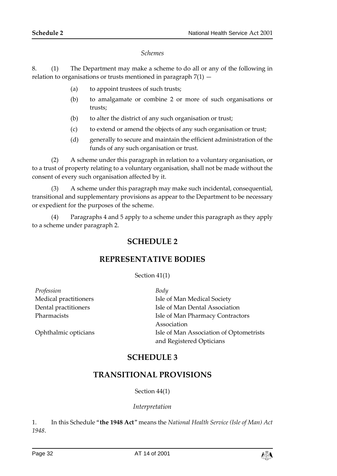#### *Schemes*

8. (1) The Department may make a scheme to do all or any of the following in relation to organisations or trusts mentioned in paragraph  $7(1)$  -

- (a) to appoint trustees of such trusts;
- (b) to amalgamate or combine 2 or more of such organisations or trusts;
- (b) to alter the district of any such organisation or trust;
- (c) to extend or amend the objects of any such organisation or trust;
- (d) generally to secure and maintain the efficient administration of the funds of any such organisation or trust.

(2) A scheme under this paragraph in relation to a voluntary organisation, or to a trust of property relating to a voluntary organisation, shall not be made without the consent of every such organisation affected by it.

(3) A scheme under this paragraph may make such incidental, consequential, transitional and supplementary provisions as appear to the Department to be necessary or expedient for the purposes of the scheme.

<span id="page-31-1"></span><span id="page-31-0"></span>(4) Paragraphs 4 and 5 apply to a scheme under this paragraph as they apply to a scheme under paragraph 2.

## **SCHEDULE 2**

## **REPRESENTATIVE BODIES**

Section 41(1)

*Profession Body*

<span id="page-31-3"></span><span id="page-31-2"></span>

Medical practitioners **Isle of Man Medical Society** Dental practitioners Isle of Man Dental Association Pharmacists Isle of Man Pharmacy Contractors Association Ophthalmic opticians Isle of Man Association of Optometrists and Registered Opticians

## **SCHEDULE 3**

## **TRANSITIONAL PROVISIONS**

Section 44(1)

## *Interpretation*

1. In this Schedule "**the 1948 Act**" means the *National Health Service (Isle of Man) Act 1948*.

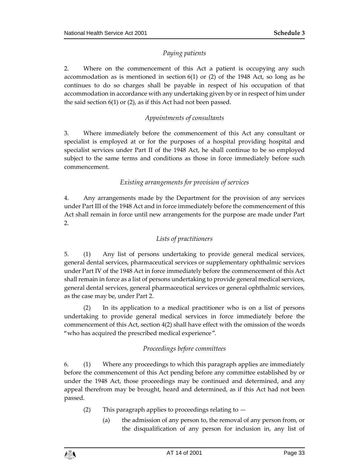## *Paying patients*

2. Where on the commencement of this Act a patient is occupying any such accommodation as is mentioned in section 6(1) or (2) of the 1948 Act, so long as he continues to do so charges shall be payable in respect of his occupation of that accommodation in accordance with any undertaking given by or in respect of him under the said section 6(1) or (2), as if this Act had not been passed.

## *Appointments of consultants*

3. Where immediately before the commencement of this Act any consultant or specialist is employed at or for the purposes of a hospital providing hospital and specialist services under Part II of the 1948 Act, he shall continue to be so employed subject to the same terms and conditions as those in force immediately before such commencement.

## *Existing arrangements for provision of services*

4. Any arrangements made by the Department for the provision of any services under Part III of the 1948 Act and in force immediately before the commencement of this Act shall remain in force until new arrangements for the purpose are made under Part 2.

## *Lists of practitioners*

5. (1) Any list of persons undertaking to provide general medical services, general dental services, pharmaceutical services or supplementary ophthalmic services under Part IV of the 1948 Act in force immediately before the commencement of this Act shall remain in force as a list of persons undertaking to provide general medical services, general dental services, general pharmaceutical services or general ophthalmic services, as the case may be, under Part 2.

(2) In its application to a medical practitioner who is on a list of persons undertaking to provide general medical services in force immediately before the commencement of this Act, section 4(2) shall have effect with the omission of the words "who has acquired the prescribed medical experience".

## *Proceedings before committees*

6. (1) Where any proceedings to which this paragraph applies are immediately before the commencement of this Act pending before any committee established by or under the 1948 Act, those proceedings may be continued and determined, and any appeal therefrom may be brought, heard and determined, as if this Act had not been passed.

- (2) This paragraph applies to proceedings relating to
	- (a) the admission of any person to, the removal of any person from, or the disqualification of any person for inclusion in, any list of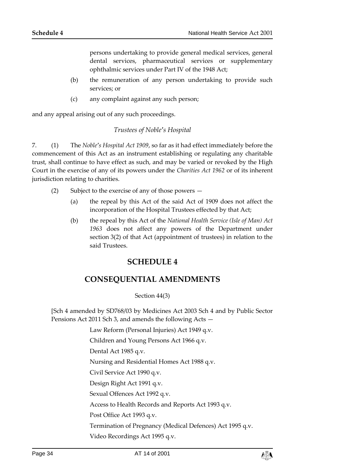persons undertaking to provide general medical services, general dental services, pharmaceutical services or supplementary ophthalmic services under Part IV of the 1948 Act;

- (b) the remuneration of any person undertaking to provide such services; or
- (c) any complaint against any such person;

and any appeal arising out of any such proceedings.

#### *Trustees of Noble's Hospital*

7. (1) The *Noble's Hospital Act 1909*, so far as it had effect immediately before the commencement of this Act as an instrument establishing or regulating any charitable trust, shall continue to have effect as such, and may be varied or revoked by the High Court in the exercise of any of its powers under the *Charities Act 1962* or of its inherent jurisdiction relating to charities.

- (2) Subject to the exercise of any of those powers
	- (a) the repeal by this Act of the said Act of 1909 does not affect the incorporation of the Hospital Trustees effected by that Act;
	- (b) the repeal by this Act of the *National Health Service (Isle of Man) Act 1963* does not affect any powers of the Department under section 3(2) of that Act (appointment of trustees) in relation to the said Trustees.

## **SCHEDULE 4**

## <span id="page-33-0"></span>**CONSEQUENTIAL AMENDMENTS**

#### Section 44(3)

<span id="page-33-1"></span>[Sch 4 amended by SD768/03 by Medicines Act 2003 Sch 4 and by Public Sector Pensions Act 2011 Sch 3, and amends the following Acts —

Law Reform (Personal Injuries) Act 1949 q.v.

Children and Young Persons Act 1966 q.v.

Dental Act 1985 q.v.

Nursing and Residential Homes Act 1988 q.v.

Civil Service Act 1990 q.v.

Design Right Act 1991 q.v.

Sexual Offences Act 1992 q.v.

Access to Health Records and Reports Act 1993 q.v.

Post Office Act 1993 q.v.

Termination of Pregnancy (Medical Defences) Act 1995 q.v.

Video Recordings Act 1995 q.v.

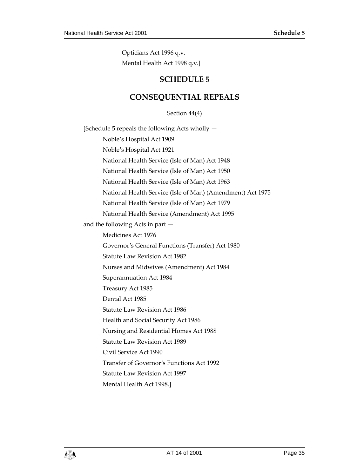<span id="page-34-0"></span>Opticians Act 1996 q.v. Mental Health Act 1998 q.v.]

# **SCHEDULE 5**

# **CONSEQUENTIAL REPEALS**

Section 44(4)

<span id="page-34-1"></span>[Schedule 5 repeals the following Acts wholly — Noble's Hospital Act 1909 Noble's Hospital Act 1921 National Health Service (Isle of Man) Act 1948 National Health Service (Isle of Man) Act 1950 National Health Service (Isle of Man) Act 1963 National Health Service (Isle of Man) (Amendment) Act 1975 National Health Service (Isle of Man) Act 1979 National Health Service (Amendment) Act 1995 and the following Acts in part — Medicines Act 1976 Governor's General Functions (Transfer) Act 1980 Statute Law Revision Act 1982 Nurses and Midwives (Amendment) Act 1984 Superannuation Act 1984 Treasury Act 1985 Dental Act 1985 Statute Law Revision Act 1986 Health and Social Security Act 1986 Nursing and Residential Homes Act 1988 Statute Law Revision Act 1989 Civil Service Act 1990 Transfer of Governor's Functions Act 1992 Statute Law Revision Act 1997 Mental Health Act 1998.]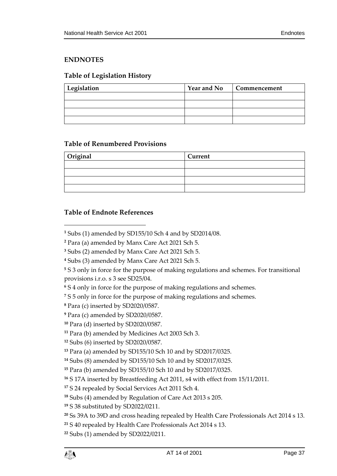## <span id="page-36-0"></span>**ENDNOTES**

## <span id="page-36-1"></span>**Table of Legislation History**

| Legislation | <b>Year and No</b> | Commencement |
|-------------|--------------------|--------------|
|             |                    |              |
|             |                    |              |
|             |                    |              |
|             |                    |              |

## <span id="page-36-2"></span>**Table of Renumbered Provisions**

| Original | Current |  |
|----------|---------|--|
|          |         |  |
|          |         |  |
|          |         |  |
|          |         |  |

## <span id="page-36-3"></span>**Table of Endnote References**

 $\overline{a}$ 

- Para (c) inserted by SD2020/0587.
- Para (c) amended by SD2020/0587.
- Para (d) inserted by SD2020/0587.

Subs (1) amended by SD155/10 Sch 4 and by SD2014/08.

Para (a) amended by Manx Care Act 2021 Sch 5.

Subs (2) amended by Manx Care Act 2021 Sch 5.

Subs (3) amended by Manx Care Act 2021 Sch 5.

 S 3 only in force for the purpose of making regulations and schemes. For transitional provisions i.r.o. s 3 see SD25/04.

S 4 only in force for the purpose of making regulations and schemes.

S 5 only in force for the purpose of making regulations and schemes.

Para (b) amended by Medicines Act 2003 Sch 3.

Subs (6) inserted by SD2020/0587.

Para (a) amended by SD155/10 Sch 10 and by SD2017/0325.

Subs (8) amended by SD155/10 Sch 10 and by SD2017/0325.

Para (b) amended by SD155/10 Sch 10 and by SD2017/0325.

S 17A inserted by Breastfeeding Act 2011, s4 with effect from 15/11/2011.

S 24 repealed by Social Services Act 2011 Sch 4.

Subs (4) amended by Regulation of Care Act 2013 s 205.

S 38 substituted by SD2022/0211.

Ss 39A to 39D and cross heading repealed by Health Care Professionals Act 2014 s 13.

S 40 repealed by Health Care Professionals Act 2014 s 13.

Subs (1) amended by SD2022/0211.